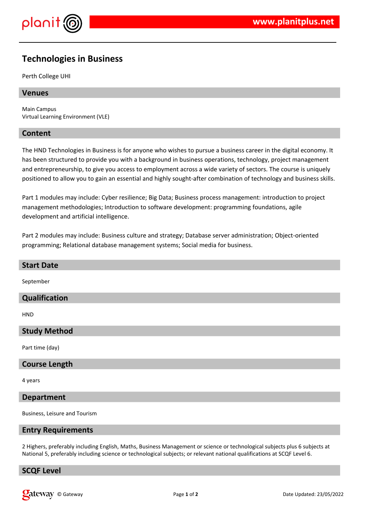

# **Technologies in Business**

Perth College UHI

# **Venues**

Main Campus Virtual Learning Environment (VLE)

# **Content**

The HND Technologies in Business is for anyone who wishes to pursue a business career in the digital economy. It has been structured to provide you with a background in business operations, technology, project management and entrepreneurship, to give you access to employment across a wide variety of sectors. The course is uniquely positioned to allow you to gain an essential and highly sought-after combination of technology and business skills.

Part 1 modules may include: Cyber resilience; Big Data; Business process management: introduction to project management methodologies; Introduction to software development: programming foundations, agile development and artificial intelligence.

Part 2 modules may include: Business culture and strategy; Database server administration; Object-oriented programming; Relational database management systems; Social media for business.

| <b>Start Date</b>    |
|----------------------|
| September            |
| Qualification        |
| <b>HND</b>           |
| <b>Study Method</b>  |
| Part time (day)      |
| <b>Course Length</b> |
| 4 years              |

# **Department**

Business, Leisure and Tourism

# **Entry Requirements**

2 Highers, preferably including English, Maths, Business Management or science or technological subjects plus 6 subjects at National 5, preferably including science or technological subjects; or relevant national qualifications at SCQF Level 6.

# **SCQF Level**